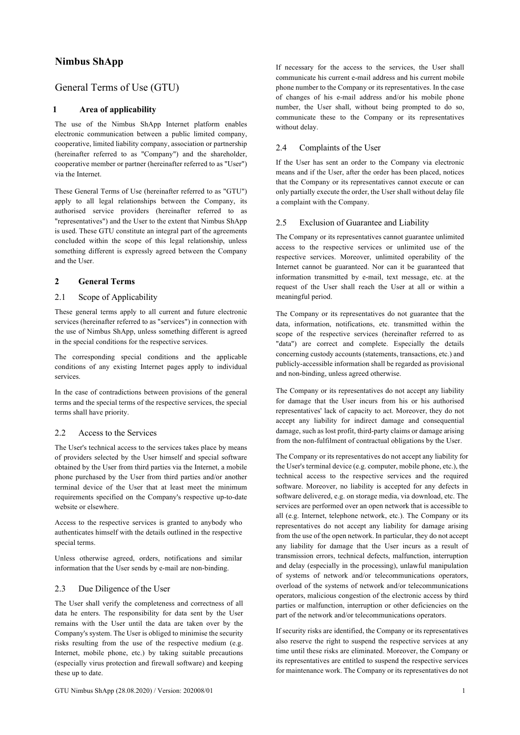# **Nimbus ShApp**

# General Terms of Use (GTU)

# **1 Area of applicability**

The use of the Nimbus ShApp Internet platform enables electronic communication between a public limited company, cooperative, limited liability company, association or partnership (hereinafter referred to as "Company") and the shareholder, cooperative member or partner (hereinafter referred to as "User") via the Internet.

These General Terms of Use (hereinafter referred to as "GTU") apply to all legal relationships between the Company, its authorised service providers (hereinafter referred to as "representatives") and the User to the extent that Nimbus ShApp is used. These GTU constitute an integral part of the agreements concluded within the scope of this legal relationship, unless something different is expressly agreed between the Company and the User.

## **2 General Terms**

#### 2.1 Scope of Applicability

These general terms apply to all current and future electronic services (hereinafter referred to as "services") in connection with the use of Nimbus ShApp, unless something different is agreed in the special conditions for the respective services.

The corresponding special conditions and the applicable conditions of any existing Internet pages apply to individual services.

In the case of contradictions between provisions of the general terms and the special terms of the respective services, the special terms shall have priority.

#### 2.2 Access to the Services

The User's technical access to the services takes place by means of providers selected by the User himself and special software obtained by the User from third parties via the Internet, a mobile phone purchased by the User from third parties and/or another terminal device of the User that at least meet the minimum requirements specified on the Company's respective up-to-date website or elsewhere.

Access to the respective services is granted to anybody who authenticates himself with the details outlined in the respective special terms.

Unless otherwise agreed, orders, notifications and similar information that the User sends by e-mail are non-binding.

#### 2.3 Due Diligence of the User

The User shall verify the completeness and correctness of all data he enters. The responsibility for data sent by the User remains with the User until the data are taken over by the Company's system. The User is obliged to minimise the security risks resulting from the use of the respective medium (e.g. Internet, mobile phone, etc.) by taking suitable precautions (especially virus protection and firewall software) and keeping these up to date.

If necessary for the access to the services, the User shall communicate his current e-mail address and his current mobile phone number to the Company or its representatives. In the case of changes of his e-mail address and/or his mobile phone number, the User shall, without being prompted to do so, communicate these to the Company or its representatives without delay.

## 2.4 Complaints of the User

If the User has sent an order to the Company via electronic means and if the User, after the order has been placed, notices that the Company or its representatives cannot execute or can only partially execute the order, the User shall without delay file a complaint with the Company.

#### 2.5 Exclusion of Guarantee and Liability

The Company or its representatives cannot guarantee unlimited access to the respective services or unlimited use of the respective services. Moreover, unlimited operability of the Internet cannot be guaranteed. Nor can it be guaranteed that information transmitted by e-mail, text message, etc. at the request of the User shall reach the User at all or within a meaningful period.

The Company or its representatives do not guarantee that the data, information, notifications, etc. transmitted within the scope of the respective services (hereinafter referred to as "data") are correct and complete. Especially the details concerning custody accounts (statements, transactions, etc.) and publicly-accessible information shall be regarded as provisional and non-binding, unless agreed otherwise.

The Company or its representatives do not accept any liability for damage that the User incurs from his or his authorised representatives' lack of capacity to act. Moreover, they do not accept any liability for indirect damage and consequential damage, such as lost profit, third-party claims or damage arising from the non-fulfilment of contractual obligations by the User.

The Company or its representatives do not accept any liability for the User's terminal device (e.g. computer, mobile phone, etc.), the technical access to the respective services and the required software. Moreover, no liability is accepted for any defects in software delivered, e.g. on storage media, via download, etc. The services are performed over an open network that is accessible to all (e.g. Internet, telephone network, etc.). The Company or its representatives do not accept any liability for damage arising from the use of the open network. In particular, they do not accept any liability for damage that the User incurs as a result of transmission errors, technical defects, malfunction, interruption and delay (especially in the processing), unlawful manipulation of systems of network and/or telecommunications operators, overload of the systems of network and/or telecommunications operators, malicious congestion of the electronic access by third parties or malfunction, interruption or other deficiencies on the part of the network and/or telecommunications operators.

If security risks are identified, the Company or its representatives also reserve the right to suspend the respective services at any time until these risks are eliminated. Moreover, the Company or its representatives are entitled to suspend the respective services for maintenance work. The Company or its representatives do not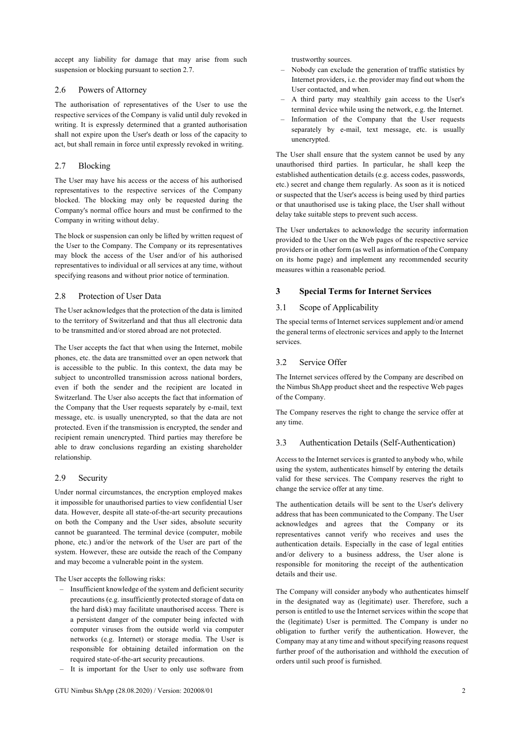accept any liability for damage that may arise from such suspension or blocking pursuant to section 2.7.

### 2.6 Powers of Attorney

The authorisation of representatives of the User to use the respective services of the Company is valid until duly revoked in writing. It is expressly determined that a granted authorisation shall not expire upon the User's death or loss of the capacity to act, but shall remain in force until expressly revoked in writing.

# 2.7 Blocking

The User may have his access or the access of his authorised representatives to the respective services of the Company blocked. The blocking may only be requested during the Company's normal office hours and must be confirmed to the Company in writing without delay.

The block or suspension can only be lifted by written request of the User to the Company. The Company or its representatives may block the access of the User and/or of his authorised representatives to individual or all services at any time, without specifying reasons and without prior notice of termination.

# 2.8 Protection of User Data

The User acknowledges that the protection of the data is limited to the territory of Switzerland and that thus all electronic data to be transmitted and/or stored abroad are not protected.

The User accepts the fact that when using the Internet, mobile phones, etc. the data are transmitted over an open network that is accessible to the public. In this context, the data may be subject to uncontrolled transmission across national borders, even if both the sender and the recipient are located in Switzerland. The User also accepts the fact that information of the Company that the User requests separately by e-mail, text message, etc. is usually unencrypted, so that the data are not protected. Even if the transmission is encrypted, the sender and recipient remain unencrypted. Third parties may therefore be able to draw conclusions regarding an existing shareholder relationship.

# 2.9 Security

Under normal circumstances, the encryption employed makes it impossible for unauthorised parties to view confidential User data. However, despite all state-of-the-art security precautions on both the Company and the User sides, absolute security cannot be guaranteed. The terminal device (computer, mobile phone, etc.) and/or the network of the User are part of the system. However, these are outside the reach of the Company and may become a vulnerable point in the system.

The User accepts the following risks:

- Insufficient knowledge of the system and deficient security precautions (e.g. insufficiently protected storage of data on the hard disk) may facilitate unauthorised access. There is a persistent danger of the computer being infected with computer viruses from the outside world via computer networks (e.g. Internet) or storage media. The User is responsible for obtaining detailed information on the required state-of-the-art security precautions.
- It is important for the User to only use software from

trustworthy sources.

- Nobody can exclude the generation of traffic statistics by Internet providers, i.e. the provider may find out whom the User contacted, and when.
- A third party may stealthily gain access to the User's terminal device while using the network, e.g. the Internet.
- Information of the Company that the User requests separately by e-mail, text message, etc. is usually unencrypted.

The User shall ensure that the system cannot be used by any unauthorised third parties. In particular, he shall keep the established authentication details (e.g. access codes, passwords, etc.) secret and change them regularly. As soon as it is noticed or suspected that the User's access is being used by third parties or that unauthorised use is taking place, the User shall without delay take suitable steps to prevent such access.

The User undertakes to acknowledge the security information provided to the User on the Web pages of the respective service providers or in other form (as well as information of the Company on its home page) and implement any recommended security measures within a reasonable period.

# **3 Special Terms for Internet Services**

# 3.1 Scope of Applicability

The special terms of Internet services supplement and/or amend the general terms of electronic services and apply to the Internet services.

# 3.2 Service Offer

The Internet services offered by the Company are described on the Nimbus ShApp product sheet and the respective Web pages of the Company.

The Company reserves the right to change the service offer at any time.

# 3.3 Authentication Details (Self-Authentication)

Access to the Internet services is granted to anybody who, while using the system, authenticates himself by entering the details valid for these services. The Company reserves the right to change the service offer at any time.

The authentication details will be sent to the User's delivery address that has been communicated to the Company. The User acknowledges and agrees that the Company or its representatives cannot verify who receives and uses the authentication details. Especially in the case of legal entities and/or delivery to a business address, the User alone is responsible for monitoring the receipt of the authentication details and their use.

The Company will consider anybody who authenticates himself in the designated way as (legitimate) user. Therefore, such a person is entitled to use the Internet services within the scope that the (legitimate) User is permitted. The Company is under no obligation to further verify the authentication. However, the Company may at any time and without specifying reasons request further proof of the authorisation and withhold the execution of orders until such proof is furnished.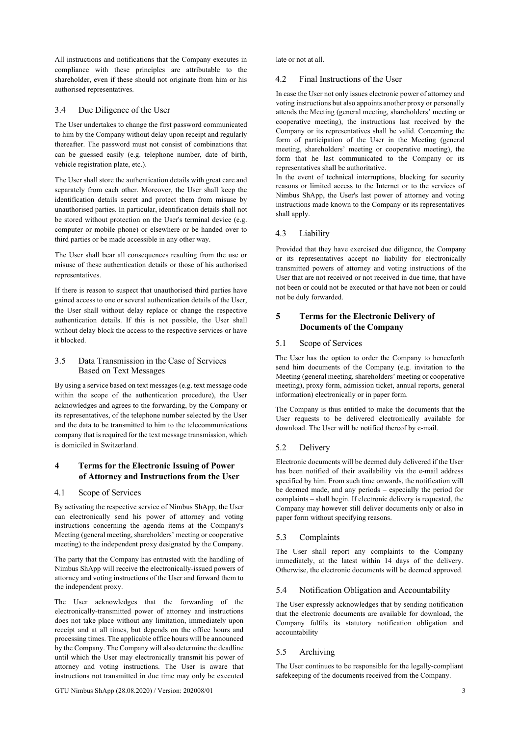All instructions and notifications that the Company executes in compliance with these principles are attributable to the shareholder, even if these should not originate from him or his authorised representatives.

#### 3.4 Due Diligence of the User

The User undertakes to change the first password communicated to him by the Company without delay upon receipt and regularly thereafter. The password must not consist of combinations that can be guessed easily (e.g. telephone number, date of birth, vehicle registration plate, etc.).

The User shall store the authentication details with great care and separately from each other. Moreover, the User shall keep the identification details secret and protect them from misuse by unauthorised parties. In particular, identification details shall not be stored without protection on the User's terminal device (e.g. computer or mobile phone) or elsewhere or be handed over to third parties or be made accessible in any other way.

The User shall bear all consequences resulting from the use or misuse of these authentication details or those of his authorised representatives.

If there is reason to suspect that unauthorised third parties have gained access to one or several authentication details of the User, the User shall without delay replace or change the respective authentication details. If this is not possible, the User shall without delay block the access to the respective services or have it blocked.

## 3.5 Data Transmission in the Case of Services Based on Text Messages

By using a service based on text messages (e.g. text message code within the scope of the authentication procedure), the User acknowledges and agrees to the forwarding, by the Company or its representatives, of the telephone number selected by the User and the data to be transmitted to him to the telecommunications company that is required for the text message transmission, which is domiciled in Switzerland.

# **4 Terms for the Electronic Issuing of Power of Attorney and Instructions from the User**

### 4.1 Scope of Services

By activating the respective service of Nimbus ShApp, the User can electronically send his power of attorney and voting instructions concerning the agenda items at the Company's Meeting (general meeting, shareholders' meeting or cooperative meeting) to the independent proxy designated by the Company.

The party that the Company has entrusted with the handling of Nimbus ShApp will receive the electronically-issued powers of attorney and voting instructions of the User and forward them to the independent proxy.

The User acknowledges that the forwarding of the electronically-transmitted power of attorney and instructions does not take place without any limitation, immediately upon receipt and at all times, but depends on the office hours and processing times. The applicable office hours will be announced by the Company. The Company will also determine the deadline until which the User may electronically transmit his power of attorney and voting instructions. The User is aware that instructions not transmitted in due time may only be executed

late or not at all.

#### 4.2 Final Instructions of the User

In case the User not only issues electronic power of attorney and voting instructions but also appoints another proxy or personally attends the Meeting (general meeting, shareholders' meeting or cooperative meeting), the instructions last received by the Company or its representatives shall be valid. Concerning the form of participation of the User in the Meeting (general meeting, shareholders' meeting or cooperative meeting), the form that he last communicated to the Company or its representatives shall be authoritative.

In the event of technical interruptions, blocking for security reasons or limited access to the Internet or to the services of Nimbus ShApp, the User's last power of attorney and voting instructions made known to the Company or its representatives shall apply.

## 4.3 Liability

Provided that they have exercised due diligence, the Company or its representatives accept no liability for electronically transmitted powers of attorney and voting instructions of the User that are not received or not received in due time, that have not been or could not be executed or that have not been or could not be duly forwarded.

# **5 Terms for the Electronic Delivery of Documents of the Company**

## 5.1 Scope of Services

The User has the option to order the Company to henceforth send him documents of the Company (e.g. invitation to the Meeting (general meeting, shareholders' meeting or cooperative meeting), proxy form, admission ticket, annual reports, general information) electronically or in paper form.

The Company is thus entitled to make the documents that the User requests to be delivered electronically available for download. The User will be notified thereof by e-mail.

#### 5.2 Delivery

Electronic documents will be deemed duly delivered if the User has been notified of their availability via the e-mail address specified by him. From such time onwards, the notification will be deemed made, and any periods – especially the period for complaints – shall begin. If electronic delivery is requested, the Company may however still deliver documents only or also in paper form without specifying reasons.

#### 5.3 Complaints

The User shall report any complaints to the Company immediately, at the latest within 14 days of the delivery. Otherwise, the electronic documents will be deemed approved.

## 5.4 Notification Obligation and Accountability

The User expressly acknowledges that by sending notification that the electronic documents are available for download, the Company fulfils its statutory notification obligation and accountability

## 5.5 Archiving

The User continues to be responsible for the legally-compliant safekeeping of the documents received from the Company.